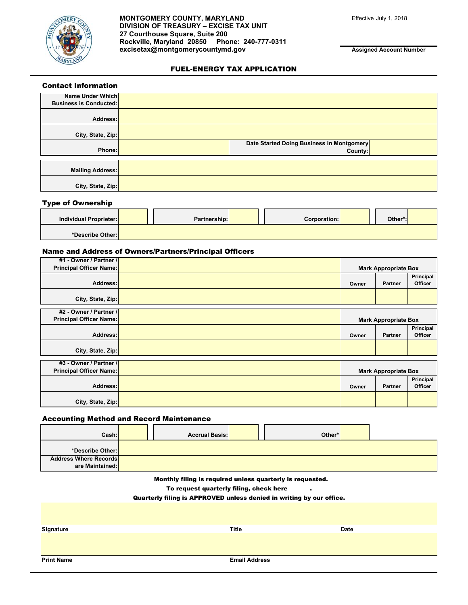

**MONTGOMERY COUNTY, MARYLAND** Effective July 1, 2018 **DIVISION OF TREASURY – EXCISE TAX UNIT 27 Courthouse Square, Suite 200 Rockville, Maryland 20850 Phone: 240-777-0311 excisetax@montgomerycountymd.gov**

**Assigned Account Number**

### FUEL-ENERGY TAX APPLICATION

| <b>Contact Information</b>    |                                           |  |
|-------------------------------|-------------------------------------------|--|
| Name Under Which              |                                           |  |
| <b>Business is Conducted:</b> |                                           |  |
| Address:                      |                                           |  |
| City, State, Zip:             |                                           |  |
|                               | Date Started Doing Business in Montgomery |  |
| Phone:                        | County:                                   |  |
|                               |                                           |  |
| <b>Mailing Address:</b>       |                                           |  |
| City, State, Zip:             |                                           |  |

#### Type of Ownership

| Individual Proprieter: |  | Partnership: |  | Corporation: | Other*: |  |
|------------------------|--|--------------|--|--------------|---------|--|
| *Describe Other:       |  |              |  |              |         |  |

### Name and Address of Owners/Partners/Principal Officers

| #1 - Owner / Partner /                                   |                             |                             |                             |
|----------------------------------------------------------|-----------------------------|-----------------------------|-----------------------------|
| <b>Principal Officer Name:</b>                           | <b>Mark Appropriate Box</b> |                             |                             |
| Address:                                                 | Owner                       | <b>Partner</b>              | Principal<br><b>Officer</b> |
| City, State, Zip:                                        |                             |                             |                             |
| #2 - Owner / Partner /<br><b>Principal Officer Name:</b> |                             | <b>Mark Appropriate Box</b> |                             |
| Address:                                                 | Owner                       | <b>Partner</b>              | Principal<br><b>Officer</b> |
| City, State, Zip:                                        |                             |                             |                             |
| #3 - Owner / Partner /<br><b>Principal Officer Name:</b> |                             | <b>Mark Appropriate Box</b> |                             |
| Address:                                                 | Owner                       | <b>Partner</b>              | Principal<br><b>Officer</b> |
| City, State, Zip:                                        |                             |                             |                             |

### Accounting Method and Record Maintenance

| Cash:                                           | <b>Accrual Basis:</b> |  | Other* |  |
|-------------------------------------------------|-----------------------|--|--------|--|
| *Describe Other: <mark> </mark>                 |                       |  |        |  |
| <b>Address Where Records</b><br>are Maintained: |                       |  |        |  |

Monthly filing is required unless quarterly is requested.

To request quarterly filing, check here \_\_\_\_\_\_\_.

Quarterly filing is APPROVED unless denied in writing by our office.

| Signature         | <b>Title</b>         | Date |
|-------------------|----------------------|------|
|                   |                      |      |
|                   |                      |      |
|                   |                      |      |
| <b>Print Name</b> | <b>Email Address</b> |      |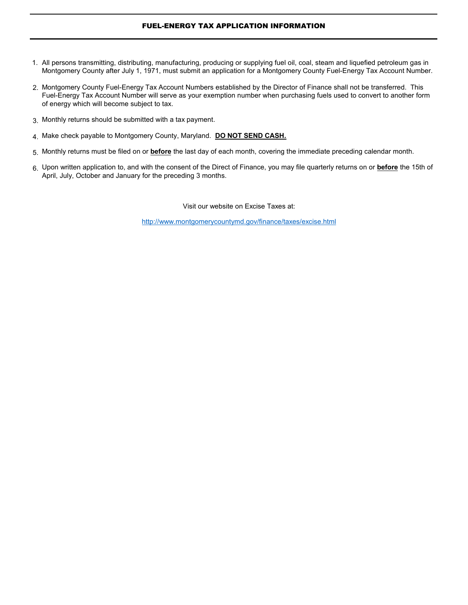# FUEL-ENERGY TAX APPLICATION INFORMATION

- All persons transmitting, distributing, manufacturing, producing or supplying fuel oil, coal, steam and liquefied petroleum gas in 1.Montgomery County after July 1, 1971, must submit an application for a Montgomery County Fuel-Energy Tax Account Number.
- 2. Montgomery County Fuel-Energy Tax Account Numbers established by the Director of Finance shall not be transferred. This Fuel-Energy Tax Account Number will serve as your exemption number when purchasing fuels used to convert to another form of energy which will become subject to tax.
- 3. Monthly returns should be submitted with a tax payment.
- 4. Make check payable to Montgomery County, Maryland. **DO NOT SEND CASH.**
- 5. Monthly returns must be filed on or **before** the last day of each month, covering the immediate preceding calendar month.
- 6. Upon written application to, and with the consent of the Direct of Finance, you may file quarterly returns on or **before** the 15th of April, July, October and January for the preceding 3 months.

Visit our website on Excise Taxes at:

http://www.montgomerycountymd.gov/finance/taxes/excise.html